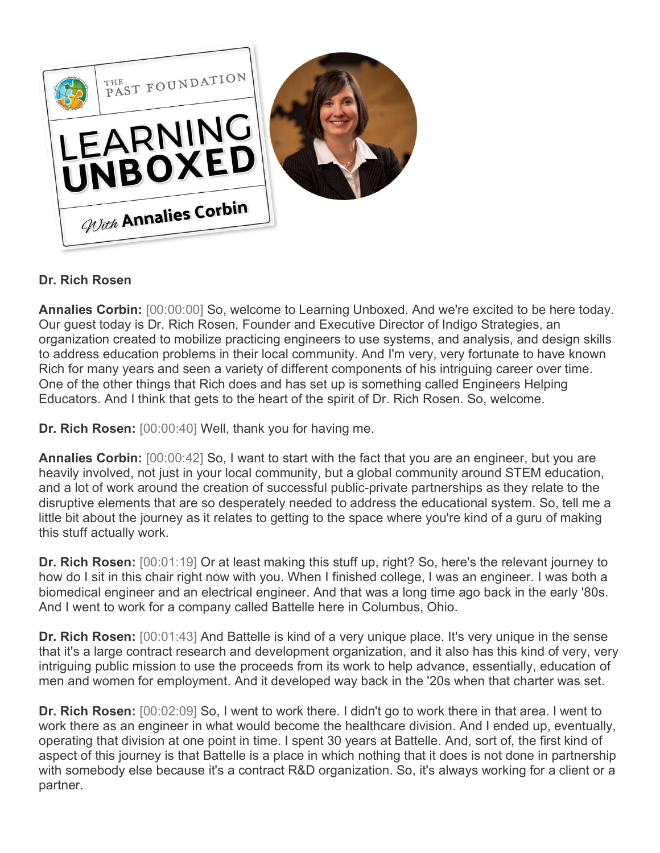

## **Dr. Rich Rosen**

**Annalies Corbin:** [00:00:00] So, welcome to Learning Unboxed. And we're excited to be here today. Our guest today is Dr. Rich Rosen, Founder and Executive Director of Indigo Strategies, an organization created to mobilize practicing engineers to use systems, and analysis, and design skills to address education problems in their local community. And I'm very, very fortunate to have known Rich for many years and seen a variety of different components of his intriguing career over time. One of the other things that Rich does and has set up is something called Engineers Helping Educators. And I think that gets to the heart of the spirit of Dr. Rich Rosen. So, welcome.

**Dr. Rich Rosen:** [00:00:40] Well, thank you for having me.

**Annalies Corbin:** [00:00:42] So, I want to start with the fact that you are an engineer, but you are heavily involved, not just in your local community, but a global community around STEM education, and a lot of work around the creation of successful public-private partnerships as they relate to the disruptive elements that are so desperately needed to address the educational system. So, tell me a little bit about the journey as it relates to getting to the space where you're kind of a guru of making this stuff actually work.

**Dr. Rich Rosen:** [00:01:19] Or at least making this stuff up, right? So, here's the relevant journey to how do I sit in this chair right now with you. When I finished college, I was an engineer. I was both a biomedical engineer and an electrical engineer. And that was a long time ago back in the early '80s. And I went to work for a company called Battelle here in Columbus, Ohio.

**Dr. Rich Rosen:** [00:01:43] And Battelle is kind of a very unique place. It's very unique in the sense that it's a large contract research and development organization, and it also has this kind of very, very intriguing public mission to use the proceeds from its work to help advance, essentially, education of men and women for employment. And it developed way back in the '20s when that charter was set.

**Dr. Rich Rosen:** [00:02:09] So, I went to work there. I didn't go to work there in that area. I went to work there as an engineer in what would become the healthcare division. And I ended up, eventually, operating that division at one point in time. I spent 30 years at Battelle. And, sort of, the first kind of aspect of this journey is that Battelle is a place in which nothing that it does is not done in partnership with somebody else because it's a contract R&D organization. So, it's always working for a client or a partner.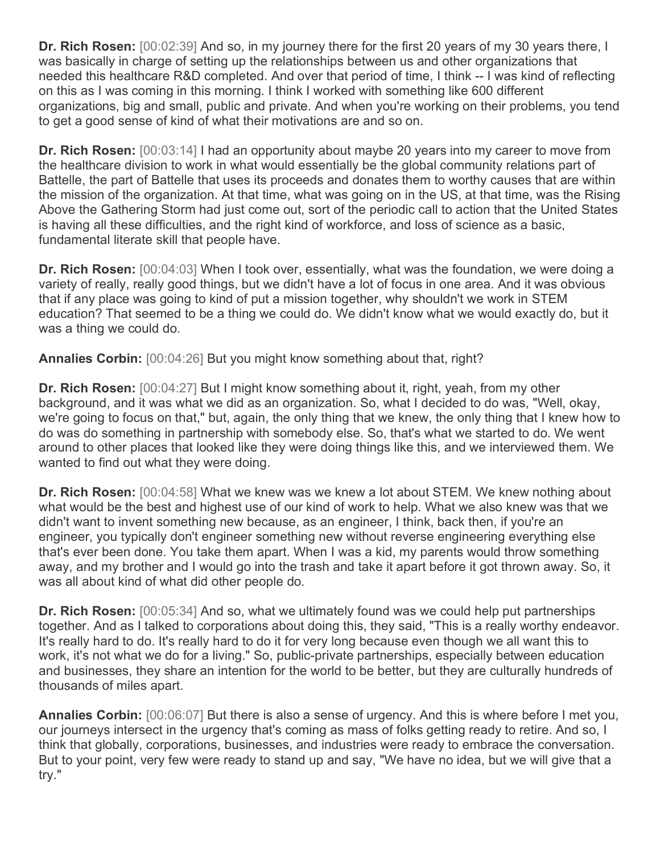**Dr. Rich Rosen:** [00:02:39] And so, in my journey there for the first 20 years of my 30 years there, I was basically in charge of setting up the relationships between us and other organizations that needed this healthcare R&D completed. And over that period of time, I think -- I was kind of reflecting on this as I was coming in this morning. I think I worked with something like 600 different organizations, big and small, public and private. And when you're working on their problems, you tend to get a good sense of kind of what their motivations are and so on.

**Dr. Rich Rosen:** [00:03:14] I had an opportunity about maybe 20 years into my career to move from the healthcare division to work in what would essentially be the global community relations part of Battelle, the part of Battelle that uses its proceeds and donates them to worthy causes that are within the mission of the organization. At that time, what was going on in the US, at that time, was the Rising Above the Gathering Storm had just come out, sort of the periodic call to action that the United States is having all these difficulties, and the right kind of workforce, and loss of science as a basic, fundamental literate skill that people have.

**Dr. Rich Rosen:** [00:04:03] When I took over, essentially, what was the foundation, we were doing a variety of really, really good things, but we didn't have a lot of focus in one area. And it was obvious that if any place was going to kind of put a mission together, why shouldn't we work in STEM education? That seemed to be a thing we could do. We didn't know what we would exactly do, but it was a thing we could do.

**Annalies Corbin:** [00:04:26] But you might know something about that, right?

**Dr. Rich Rosen:** [00:04:27] But I might know something about it, right, yeah, from my other background, and it was what we did as an organization. So, what I decided to do was, "Well, okay, we're going to focus on that," but, again, the only thing that we knew, the only thing that I knew how to do was do something in partnership with somebody else. So, that's what we started to do. We went around to other places that looked like they were doing things like this, and we interviewed them. We wanted to find out what they were doing.

**Dr. Rich Rosen:** [00:04:58] What we knew was we knew a lot about STEM. We knew nothing about what would be the best and highest use of our kind of work to help. What we also knew was that we didn't want to invent something new because, as an engineer, I think, back then, if you're an engineer, you typically don't engineer something new without reverse engineering everything else that's ever been done. You take them apart. When I was a kid, my parents would throw something away, and my brother and I would go into the trash and take it apart before it got thrown away. So, it was all about kind of what did other people do.

**Dr. Rich Rosen:** [00:05:34] And so, what we ultimately found was we could help put partnerships together. And as I talked to corporations about doing this, they said, "This is a really worthy endeavor. It's really hard to do. It's really hard to do it for very long because even though we all want this to work, it's not what we do for a living." So, public-private partnerships, especially between education and businesses, they share an intention for the world to be better, but they are culturally hundreds of thousands of miles apart.

**Annalies Corbin:** [00:06:07] But there is also a sense of urgency. And this is where before I met you, our journeys intersect in the urgency that's coming as mass of folks getting ready to retire. And so, I think that globally, corporations, businesses, and industries were ready to embrace the conversation. But to your point, very few were ready to stand up and say, "We have no idea, but we will give that a try."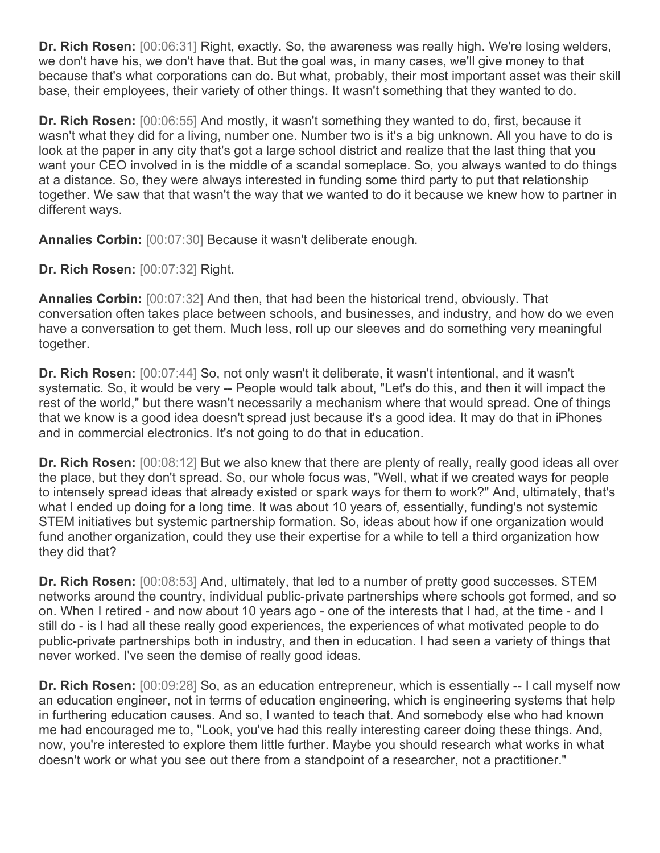**Dr. Rich Rosen:** [00:06:31] Right, exactly. So, the awareness was really high. We're losing welders, we don't have his, we don't have that. But the goal was, in many cases, we'll give money to that because that's what corporations can do. But what, probably, their most important asset was their skill base, their employees, their variety of other things. It wasn't something that they wanted to do.

**Dr. Rich Rosen:** [00:06:55] And mostly, it wasn't something they wanted to do, first, because it wasn't what they did for a living, number one. Number two is it's a big unknown. All you have to do is look at the paper in any city that's got a large school district and realize that the last thing that you want your CEO involved in is the middle of a scandal someplace. So, you always wanted to do things at a distance. So, they were always interested in funding some third party to put that relationship together. We saw that that wasn't the way that we wanted to do it because we knew how to partner in different ways.

**Annalies Corbin:** [00:07:30] Because it wasn't deliberate enough.

**Dr. Rich Rosen:** [00:07:32] Right.

**Annalies Corbin:** [00:07:32] And then, that had been the historical trend, obviously. That conversation often takes place between schools, and businesses, and industry, and how do we even have a conversation to get them. Much less, roll up our sleeves and do something very meaningful together.

**Dr. Rich Rosen:** [00:07:44] So, not only wasn't it deliberate, it wasn't intentional, and it wasn't systematic. So, it would be very -- People would talk about, "Let's do this, and then it will impact the rest of the world," but there wasn't necessarily a mechanism where that would spread. One of things that we know is a good idea doesn't spread just because it's a good idea. It may do that in iPhones and in commercial electronics. It's not going to do that in education.

**Dr. Rich Rosen:** [00:08:12] But we also knew that there are plenty of really, really good ideas all over the place, but they don't spread. So, our whole focus was, "Well, what if we created ways for people to intensely spread ideas that already existed or spark ways for them to work?" And, ultimately, that's what I ended up doing for a long time. It was about 10 years of, essentially, funding's not systemic STEM initiatives but systemic partnership formation. So, ideas about how if one organization would fund another organization, could they use their expertise for a while to tell a third organization how they did that?

**Dr. Rich Rosen:** [00:08:53] And, ultimately, that led to a number of pretty good successes. STEM networks around the country, individual public-private partnerships where schools got formed, and so on. When I retired - and now about 10 years ago - one of the interests that I had, at the time - and I still do - is I had all these really good experiences, the experiences of what motivated people to do public-private partnerships both in industry, and then in education. I had seen a variety of things that never worked. I've seen the demise of really good ideas.

**Dr. Rich Rosen:** [00:09:28] So, as an education entrepreneur, which is essentially -- I call myself now an education engineer, not in terms of education engineering, which is engineering systems that help in furthering education causes. And so, I wanted to teach that. And somebody else who had known me had encouraged me to, "Look, you've had this really interesting career doing these things. And, now, you're interested to explore them little further. Maybe you should research what works in what doesn't work or what you see out there from a standpoint of a researcher, not a practitioner."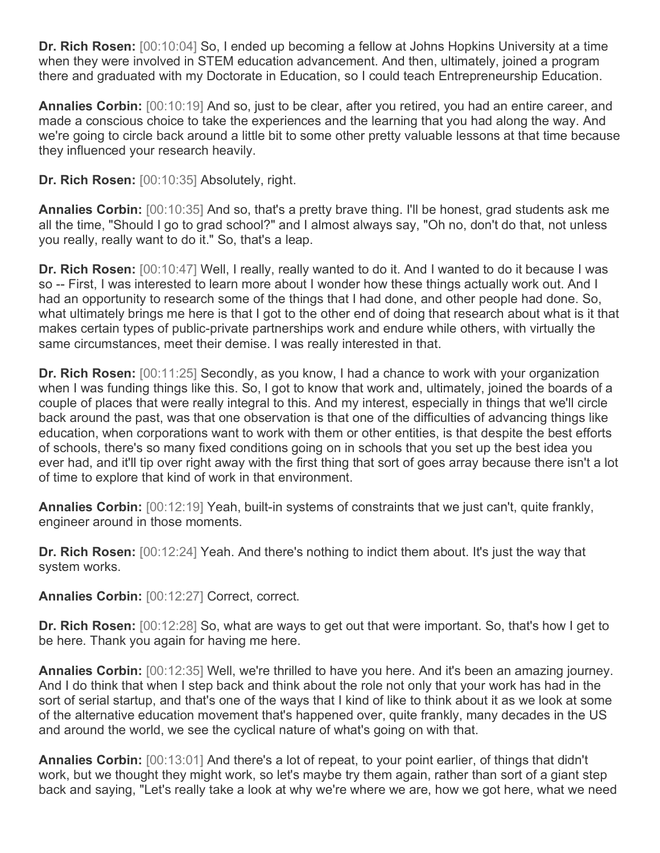**Dr. Rich Rosen:** [00:10:04] So, I ended up becoming a fellow at Johns Hopkins University at a time when they were involved in STEM education advancement. And then, ultimately, joined a program there and graduated with my Doctorate in Education, so I could teach Entrepreneurship Education.

**Annalies Corbin:** [00:10:19] And so, just to be clear, after you retired, you had an entire career, and made a conscious choice to take the experiences and the learning that you had along the way. And we're going to circle back around a little bit to some other pretty valuable lessons at that time because they influenced your research heavily.

**Dr. Rich Rosen:** [00:10:35] Absolutely, right.

**Annalies Corbin:** [00:10:35] And so, that's a pretty brave thing. I'll be honest, grad students ask me all the time, "Should I go to grad school?" and I almost always say, "Oh no, don't do that, not unless you really, really want to do it." So, that's a leap.

**Dr. Rich Rosen:** [00:10:47] Well, I really, really wanted to do it. And I wanted to do it because I was so -- First, I was interested to learn more about I wonder how these things actually work out. And I had an opportunity to research some of the things that I had done, and other people had done. So, what ultimately brings me here is that I got to the other end of doing that research about what is it that makes certain types of public-private partnerships work and endure while others, with virtually the same circumstances, meet their demise. I was really interested in that.

**Dr. Rich Rosen:** [00:11:25] Secondly, as you know, I had a chance to work with your organization when I was funding things like this. So, I got to know that work and, ultimately, joined the boards of a couple of places that were really integral to this. And my interest, especially in things that we'll circle back around the past, was that one observation is that one of the difficulties of advancing things like education, when corporations want to work with them or other entities, is that despite the best efforts of schools, there's so many fixed conditions going on in schools that you set up the best idea you ever had, and it'll tip over right away with the first thing that sort of goes array because there isn't a lot of time to explore that kind of work in that environment.

**Annalies Corbin:** [00:12:19] Yeah, built-in systems of constraints that we just can't, quite frankly, engineer around in those moments.

**Dr. Rich Rosen:** [00:12:24] Yeah. And there's nothing to indict them about. It's just the way that system works.

**Annalies Corbin:** [00:12:27] Correct, correct.

**Dr. Rich Rosen:** [00:12:28] So, what are ways to get out that were important. So, that's how I get to be here. Thank you again for having me here.

**Annalies Corbin:** [00:12:35] Well, we're thrilled to have you here. And it's been an amazing journey. And I do think that when I step back and think about the role not only that your work has had in the sort of serial startup, and that's one of the ways that I kind of like to think about it as we look at some of the alternative education movement that's happened over, quite frankly, many decades in the US and around the world, we see the cyclical nature of what's going on with that.

**Annalies Corbin:** [00:13:01] And there's a lot of repeat, to your point earlier, of things that didn't work, but we thought they might work, so let's maybe try them again, rather than sort of a giant step back and saying, "Let's really take a look at why we're where we are, how we got here, what we need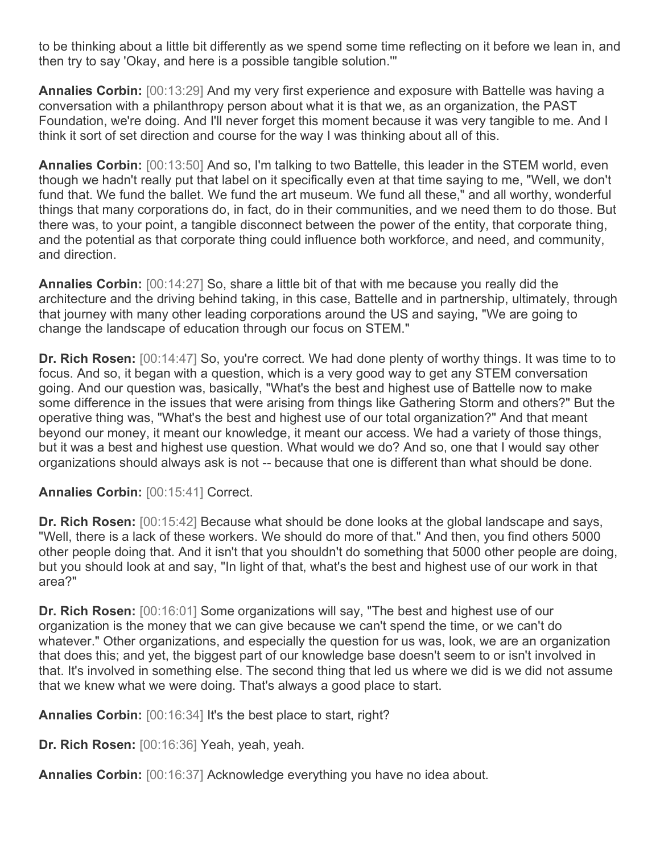to be thinking about a little bit differently as we spend some time reflecting on it before we lean in, and then try to say 'Okay, and here is a possible tangible solution.'"

**Annalies Corbin:** [00:13:29] And my very first experience and exposure with Battelle was having a conversation with a philanthropy person about what it is that we, as an organization, the PAST Foundation, we're doing. And I'll never forget this moment because it was very tangible to me. And I think it sort of set direction and course for the way I was thinking about all of this.

**Annalies Corbin:** [00:13:50] And so, I'm talking to two Battelle, this leader in the STEM world, even though we hadn't really put that label on it specifically even at that time saying to me, "Well, we don't fund that. We fund the ballet. We fund the art museum. We fund all these," and all worthy, wonderful things that many corporations do, in fact, do in their communities, and we need them to do those. But there was, to your point, a tangible disconnect between the power of the entity, that corporate thing, and the potential as that corporate thing could influence both workforce, and need, and community, and direction.

**Annalies Corbin:** [00:14:27] So, share a little bit of that with me because you really did the architecture and the driving behind taking, in this case, Battelle and in partnership, ultimately, through that journey with many other leading corporations around the US and saying, "We are going to change the landscape of education through our focus on STEM."

**Dr. Rich Rosen:** [00:14:47] So, you're correct. We had done plenty of worthy things. It was time to to focus. And so, it began with a question, which is a very good way to get any STEM conversation going. And our question was, basically, "What's the best and highest use of Battelle now to make some difference in the issues that were arising from things like Gathering Storm and others?" But the operative thing was, "What's the best and highest use of our total organization?" And that meant beyond our money, it meant our knowledge, it meant our access. We had a variety of those things, but it was a best and highest use question. What would we do? And so, one that I would say other organizations should always ask is not -- because that one is different than what should be done.

**Annalies Corbin:** [00:15:41] Correct.

**Dr. Rich Rosen:** [00:15:42] Because what should be done looks at the global landscape and says, "Well, there is a lack of these workers. We should do more of that." And then, you find others 5000 other people doing that. And it isn't that you shouldn't do something that 5000 other people are doing, but you should look at and say, "In light of that, what's the best and highest use of our work in that area?"

**Dr. Rich Rosen:** [00:16:01] Some organizations will say, "The best and highest use of our organization is the money that we can give because we can't spend the time, or we can't do whatever." Other organizations, and especially the question for us was, look, we are an organization that does this; and yet, the biggest part of our knowledge base doesn't seem to or isn't involved in that. It's involved in something else. The second thing that led us where we did is we did not assume that we knew what we were doing. That's always a good place to start.

**Annalies Corbin:** [00:16:34] It's the best place to start, right?

**Dr. Rich Rosen:** [00:16:36] Yeah, yeah, yeah.

**Annalies Corbin:** [00:16:37] Acknowledge everything you have no idea about.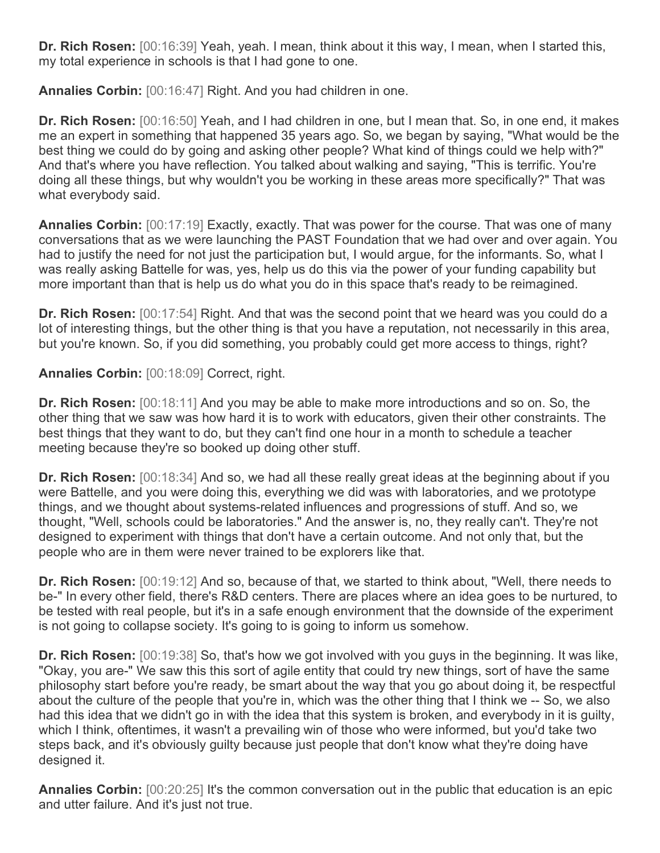**Dr. Rich Rosen:** [00:16:39] Yeah, yeah. I mean, think about it this way, I mean, when I started this, my total experience in schools is that I had gone to one.

**Annalies Corbin:** [00:16:47] Right. And you had children in one.

**Dr. Rich Rosen:** [00:16:50] Yeah, and I had children in one, but I mean that. So, in one end, it makes me an expert in something that happened 35 years ago. So, we began by saying, "What would be the best thing we could do by going and asking other people? What kind of things could we help with?" And that's where you have reflection. You talked about walking and saying, "This is terrific. You're doing all these things, but why wouldn't you be working in these areas more specifically?" That was what everybody said.

**Annalies Corbin:** [00:17:19] Exactly, exactly. That was power for the course. That was one of many conversations that as we were launching the PAST Foundation that we had over and over again. You had to justify the need for not just the participation but, I would argue, for the informants. So, what I was really asking Battelle for was, yes, help us do this via the power of your funding capability but more important than that is help us do what you do in this space that's ready to be reimagined.

**Dr. Rich Rosen:** [00:17:54] Right. And that was the second point that we heard was you could do a lot of interesting things, but the other thing is that you have a reputation, not necessarily in this area, but you're known. So, if you did something, you probably could get more access to things, right?

**Annalies Corbin:** [00:18:09] Correct, right.

**Dr. Rich Rosen:** [00:18:11] And you may be able to make more introductions and so on. So, the other thing that we saw was how hard it is to work with educators, given their other constraints. The best things that they want to do, but they can't find one hour in a month to schedule a teacher meeting because they're so booked up doing other stuff.

**Dr. Rich Rosen:** [00:18:34] And so, we had all these really great ideas at the beginning about if you were Battelle, and you were doing this, everything we did was with laboratories, and we prototype things, and we thought about systems-related influences and progressions of stuff. And so, we thought, "Well, schools could be laboratories." And the answer is, no, they really can't. They're not designed to experiment with things that don't have a certain outcome. And not only that, but the people who are in them were never trained to be explorers like that.

**Dr. Rich Rosen:** [00:19:12] And so, because of that, we started to think about, "Well, there needs to be-" In every other field, there's R&D centers. There are places where an idea goes to be nurtured, to be tested with real people, but it's in a safe enough environment that the downside of the experiment is not going to collapse society. It's going to is going to inform us somehow.

**Dr. Rich Rosen:** [00:19:38] So, that's how we got involved with you guys in the beginning. It was like, "Okay, you are-" We saw this this sort of agile entity that could try new things, sort of have the same philosophy start before you're ready, be smart about the way that you go about doing it, be respectful about the culture of the people that you're in, which was the other thing that I think we -- So, we also had this idea that we didn't go in with the idea that this system is broken, and everybody in it is guilty, which I think, oftentimes, it wasn't a prevailing win of those who were informed, but you'd take two steps back, and it's obviously guilty because just people that don't know what they're doing have designed it.

**Annalies Corbin:** [00:20:25] It's the common conversation out in the public that education is an epic and utter failure. And it's just not true.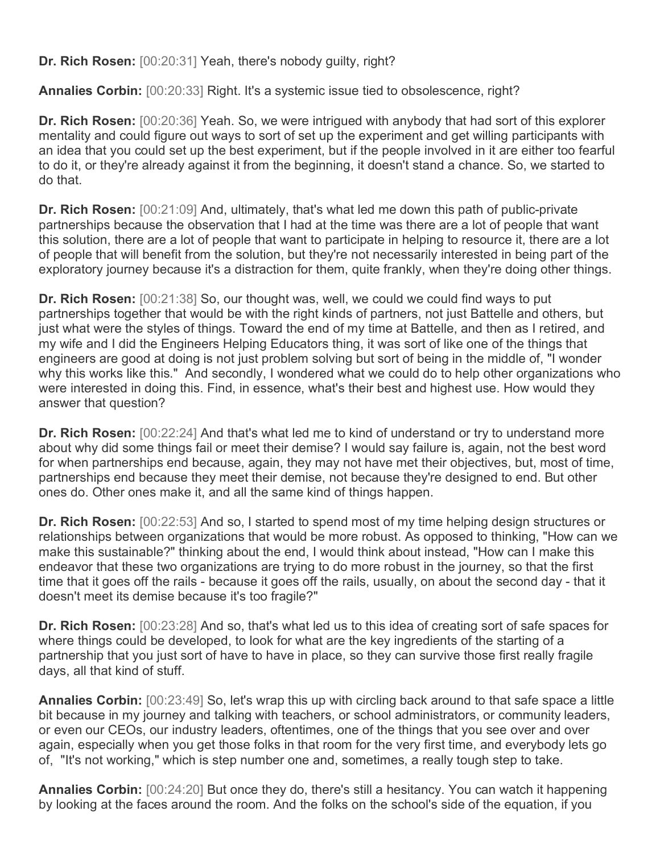**Dr. Rich Rosen:** [00:20:31] Yeah, there's nobody guilty, right?

**Annalies Corbin:** [00:20:33] Right. It's a systemic issue tied to obsolescence, right?

**Dr. Rich Rosen:** [00:20:36] Yeah. So, we were intrigued with anybody that had sort of this explorer mentality and could figure out ways to sort of set up the experiment and get willing participants with an idea that you could set up the best experiment, but if the people involved in it are either too fearful to do it, or they're already against it from the beginning, it doesn't stand a chance. So, we started to do that.

**Dr. Rich Rosen:** [00:21:09] And, ultimately, that's what led me down this path of public-private partnerships because the observation that I had at the time was there are a lot of people that want this solution, there are a lot of people that want to participate in helping to resource it, there are a lot of people that will benefit from the solution, but they're not necessarily interested in being part of the exploratory journey because it's a distraction for them, quite frankly, when they're doing other things.

**Dr. Rich Rosen:**  $[00:21:38]$  So, our thought was, well, we could we could find ways to put partnerships together that would be with the right kinds of partners, not just Battelle and others, but just what were the styles of things. Toward the end of my time at Battelle, and then as I retired, and my wife and I did the Engineers Helping Educators thing, it was sort of like one of the things that engineers are good at doing is not just problem solving but sort of being in the middle of, "I wonder why this works like this." And secondly, I wondered what we could do to help other organizations who were interested in doing this. Find, in essence, what's their best and highest use. How would they answer that question?

**Dr. Rich Rosen:** [00:22:24] And that's what led me to kind of understand or try to understand more about why did some things fail or meet their demise? I would say failure is, again, not the best word for when partnerships end because, again, they may not have met their objectives, but, most of time, partnerships end because they meet their demise, not because they're designed to end. But other ones do. Other ones make it, and all the same kind of things happen.

**Dr. Rich Rosen:** [00:22:53] And so, I started to spend most of my time helping design structures or relationships between organizations that would be more robust. As opposed to thinking, "How can we make this sustainable?" thinking about the end, I would think about instead, "How can I make this endeavor that these two organizations are trying to do more robust in the journey, so that the first time that it goes off the rails - because it goes off the rails, usually, on about the second day - that it doesn't meet its demise because it's too fragile?"

**Dr. Rich Rosen:** [00:23:28] And so, that's what led us to this idea of creating sort of safe spaces for where things could be developed, to look for what are the key ingredients of the starting of a partnership that you just sort of have to have in place, so they can survive those first really fragile days, all that kind of stuff.

**Annalies Corbin:** [00:23:49] So, let's wrap this up with circling back around to that safe space a little bit because in my journey and talking with teachers, or school administrators, or community leaders, or even our CEOs, our industry leaders, oftentimes, one of the things that you see over and over again, especially when you get those folks in that room for the very first time, and everybody lets go of, "It's not working," which is step number one and, sometimes, a really tough step to take.

**Annalies Corbin:** [00:24:20] But once they do, there's still a hesitancy. You can watch it happening by looking at the faces around the room. And the folks on the school's side of the equation, if you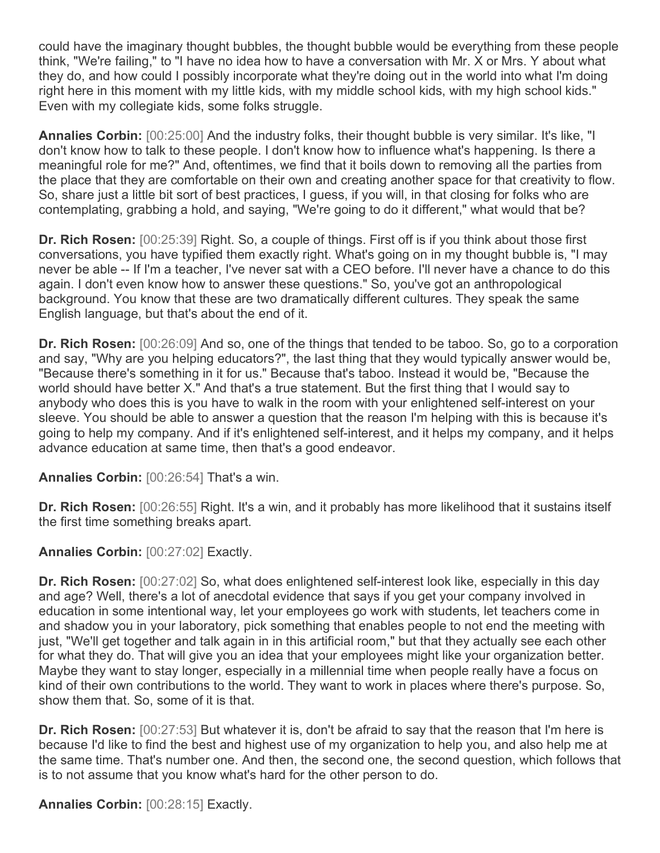could have the imaginary thought bubbles, the thought bubble would be everything from these people think, "We're failing," to "I have no idea how to have a conversation with Mr. X or Mrs. Y about what they do, and how could I possibly incorporate what they're doing out in the world into what I'm doing right here in this moment with my little kids, with my middle school kids, with my high school kids." Even with my collegiate kids, some folks struggle.

**Annalies Corbin:** [00:25:00] And the industry folks, their thought bubble is very similar. It's like, "I don't know how to talk to these people. I don't know how to influence what's happening. Is there a meaningful role for me?" And, oftentimes, we find that it boils down to removing all the parties from the place that they are comfortable on their own and creating another space for that creativity to flow. So, share just a little bit sort of best practices, I guess, if you will, in that closing for folks who are contemplating, grabbing a hold, and saying, "We're going to do it different," what would that be?

**Dr. Rich Rosen:** [00:25:39] Right. So, a couple of things. First off is if you think about those first conversations, you have typified them exactly right. What's going on in my thought bubble is, "I may never be able -- If I'm a teacher, I've never sat with a CEO before. I'll never have a chance to do this again. I don't even know how to answer these questions." So, you've got an anthropological background. You know that these are two dramatically different cultures. They speak the same English language, but that's about the end of it.

**Dr. Rich Rosen:** [00:26:09] And so, one of the things that tended to be taboo. So, go to a corporation and say, "Why are you helping educators?", the last thing that they would typically answer would be, "Because there's something in it for us." Because that's taboo. Instead it would be, "Because the world should have better X." And that's a true statement. But the first thing that I would say to anybody who does this is you have to walk in the room with your enlightened self-interest on your sleeve. You should be able to answer a question that the reason I'm helping with this is because it's going to help my company. And if it's enlightened self-interest, and it helps my company, and it helps advance education at same time, then that's a good endeavor.

**Annalies Corbin:** [00:26:54] That's a win.

**Dr. Rich Rosen:** [00:26:55] Right. It's a win, and it probably has more likelihood that it sustains itself the first time something breaks apart.

**Annalies Corbin:** [00:27:02] Exactly.

**Dr. Rich Rosen:** [00:27:02] So, what does enlightened self-interest look like, especially in this day and age? Well, there's a lot of anecdotal evidence that says if you get your company involved in education in some intentional way, let your employees go work with students, let teachers come in and shadow you in your laboratory, pick something that enables people to not end the meeting with just, "We'll get together and talk again in in this artificial room," but that they actually see each other for what they do. That will give you an idea that your employees might like your organization better. Maybe they want to stay longer, especially in a millennial time when people really have a focus on kind of their own contributions to the world. They want to work in places where there's purpose. So, show them that. So, some of it is that.

**Dr. Rich Rosen:** [00:27:53] But whatever it is, don't be afraid to say that the reason that I'm here is because I'd like to find the best and highest use of my organization to help you, and also help me at the same time. That's number one. And then, the second one, the second question, which follows that is to not assume that you know what's hard for the other person to do.

**Annalies Corbin:** [00:28:15] Exactly.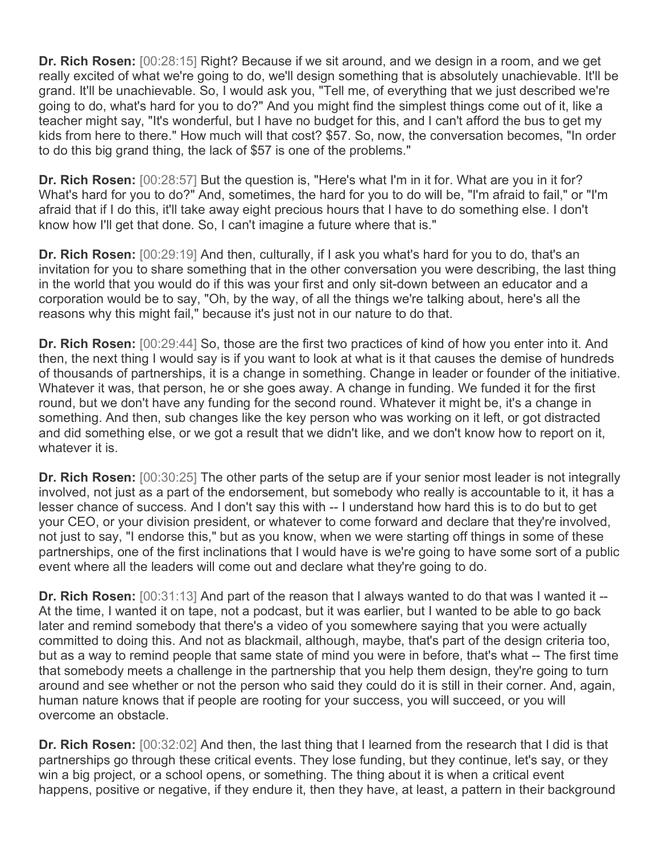**Dr. Rich Rosen:** [00:28:15] Right? Because if we sit around, and we design in a room, and we get really excited of what we're going to do, we'll design something that is absolutely unachievable. It'll be grand. It'll be unachievable. So, I would ask you, "Tell me, of everything that we just described we're going to do, what's hard for you to do?" And you might find the simplest things come out of it, like a teacher might say, "It's wonderful, but I have no budget for this, and I can't afford the bus to get my kids from here to there." How much will that cost? \$57. So, now, the conversation becomes, "In order to do this big grand thing, the lack of \$57 is one of the problems."

**Dr. Rich Rosen:** [00:28:57] But the question is, "Here's what I'm in it for. What are you in it for? What's hard for you to do?" And, sometimes, the hard for you to do will be, "I'm afraid to fail," or "I'm afraid that if I do this, it'll take away eight precious hours that I have to do something else. I don't know how I'll get that done. So, I can't imagine a future where that is."

**Dr. Rich Rosen:** [00:29:19] And then, culturally, if I ask you what's hard for you to do, that's an invitation for you to share something that in the other conversation you were describing, the last thing in the world that you would do if this was your first and only sit-down between an educator and a corporation would be to say, "Oh, by the way, of all the things we're talking about, here's all the reasons why this might fail," because it's just not in our nature to do that.

**Dr. Rich Rosen:** [00:29:44] So, those are the first two practices of kind of how you enter into it. And then, the next thing I would say is if you want to look at what is it that causes the demise of hundreds of thousands of partnerships, it is a change in something. Change in leader or founder of the initiative. Whatever it was, that person, he or she goes away. A change in funding. We funded it for the first round, but we don't have any funding for the second round. Whatever it might be, it's a change in something. And then, sub changes like the key person who was working on it left, or got distracted and did something else, or we got a result that we didn't like, and we don't know how to report on it, whatever it is.

**Dr. Rich Rosen:** [00:30:25] The other parts of the setup are if your senior most leader is not integrally involved, not just as a part of the endorsement, but somebody who really is accountable to it, it has a lesser chance of success. And I don't say this with -- I understand how hard this is to do but to get your CEO, or your division president, or whatever to come forward and declare that they're involved, not just to say, "I endorse this," but as you know, when we were starting off things in some of these partnerships, one of the first inclinations that I would have is we're going to have some sort of a public event where all the leaders will come out and declare what they're going to do.

**Dr. Rich Rosen:** [00:31:13] And part of the reason that I always wanted to do that was I wanted it -- At the time, I wanted it on tape, not a podcast, but it was earlier, but I wanted to be able to go back later and remind somebody that there's a video of you somewhere saying that you were actually committed to doing this. And not as blackmail, although, maybe, that's part of the design criteria too, but as a way to remind people that same state of mind you were in before, that's what -- The first time that somebody meets a challenge in the partnership that you help them design, they're going to turn around and see whether or not the person who said they could do it is still in their corner. And, again, human nature knows that if people are rooting for your success, you will succeed, or you will overcome an obstacle.

**Dr. Rich Rosen:** [00:32:02] And then, the last thing that I learned from the research that I did is that partnerships go through these critical events. They lose funding, but they continue, let's say, or they win a big project, or a school opens, or something. The thing about it is when a critical event happens, positive or negative, if they endure it, then they have, at least, a pattern in their background